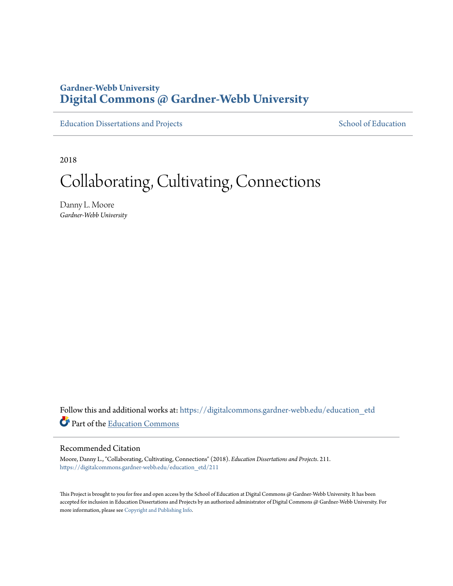# **Gardner-Webb University [Digital Commons @ Gardner-Webb University](https://digitalcommons.gardner-webb.edu?utm_source=digitalcommons.gardner-webb.edu%2Feducation_etd%2F211&utm_medium=PDF&utm_campaign=PDFCoverPages)**

[Education Dissertations and Projects](https://digitalcommons.gardner-webb.edu/education_etd?utm_source=digitalcommons.gardner-webb.edu%2Feducation_etd%2F211&utm_medium=PDF&utm_campaign=PDFCoverPages) [School of Education](https://digitalcommons.gardner-webb.edu/education?utm_source=digitalcommons.gardner-webb.edu%2Feducation_etd%2F211&utm_medium=PDF&utm_campaign=PDFCoverPages)

2018

# Collaborating, Cultivating, Connections

Danny L. Moore *Gardner-Webb University*

Follow this and additional works at: [https://digitalcommons.gardner-webb.edu/education\\_etd](https://digitalcommons.gardner-webb.edu/education_etd?utm_source=digitalcommons.gardner-webb.edu%2Feducation_etd%2F211&utm_medium=PDF&utm_campaign=PDFCoverPages) Part of the [Education Commons](http://network.bepress.com/hgg/discipline/784?utm_source=digitalcommons.gardner-webb.edu%2Feducation_etd%2F211&utm_medium=PDF&utm_campaign=PDFCoverPages)

## Recommended Citation

Moore, Danny L., "Collaborating, Cultivating, Connections" (2018). *Education Dissertations and Projects*. 211. [https://digitalcommons.gardner-webb.edu/education\\_etd/211](https://digitalcommons.gardner-webb.edu/education_etd/211?utm_source=digitalcommons.gardner-webb.edu%2Feducation_etd%2F211&utm_medium=PDF&utm_campaign=PDFCoverPages)

This Project is brought to you for free and open access by the School of Education at Digital Commons @ Gardner-Webb University. It has been accepted for inclusion in Education Dissertations and Projects by an authorized administrator of Digital Commons @ Gardner-Webb University. For more information, please see [Copyright and Publishing Info](https://digitalcommons.gardner-webb.edu/copyright_publishing.html).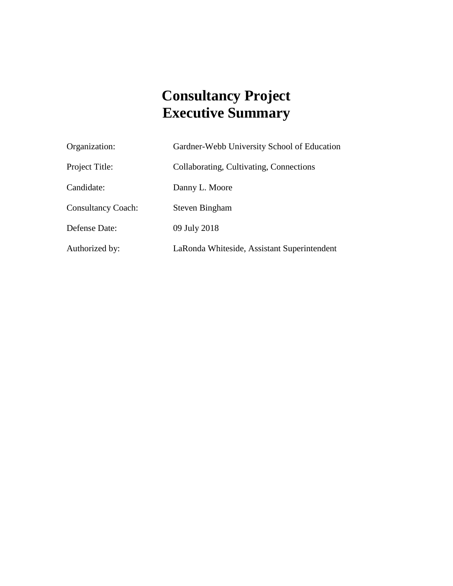# **Consultancy Project Executive Summary**

| Organization:             | Gardner-Webb University School of Education |
|---------------------------|---------------------------------------------|
| Project Title:            | Collaborating, Cultivating, Connections     |
| Candidate:                | Danny L. Moore                              |
| <b>Consultancy Coach:</b> | Steven Bingham                              |
| Defense Date:             | 09 July 2018                                |
| Authorized by:            | LaRonda Whiteside, Assistant Superintendent |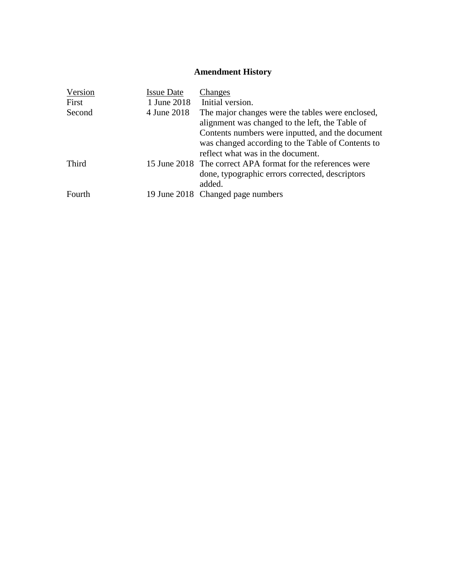# **Amendment History**

| Version | <b>Issue Date</b> | Changes                                                                                                                                    |
|---------|-------------------|--------------------------------------------------------------------------------------------------------------------------------------------|
| First   | 1 June 2018       | Initial version.                                                                                                                           |
| Second  | 4 June 2018       | The major changes were the tables were enclosed,<br>alignment was changed to the left, the Table of                                        |
|         |                   | Contents numbers were inputted, and the document<br>was changed according to the Table of Contents to<br>reflect what was in the document. |
| Third   |                   | 15 June 2018 The correct APA format for the references were<br>done, typographic errors corrected, descriptors<br>added.                   |
| Fourth  |                   | 19 June 2018 Changed page numbers                                                                                                          |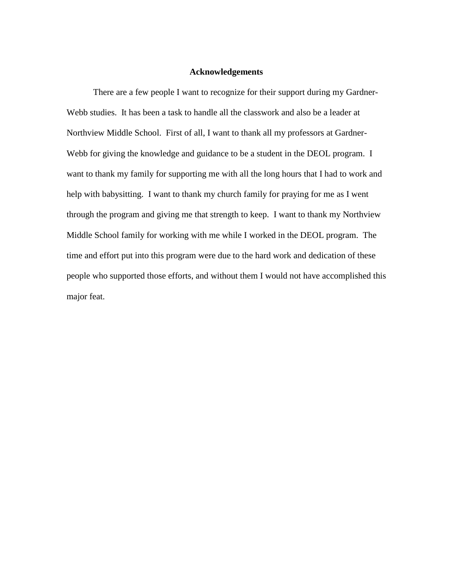#### **Acknowledgements**

There are a few people I want to recognize for their support during my Gardner-Webb studies. It has been a task to handle all the classwork and also be a leader at Northview Middle School. First of all, I want to thank all my professors at Gardner-Webb for giving the knowledge and guidance to be a student in the DEOL program. I want to thank my family for supporting me with all the long hours that I had to work and help with babysitting. I want to thank my church family for praying for me as I went through the program and giving me that strength to keep. I want to thank my Northview Middle School family for working with me while I worked in the DEOL program. The time and effort put into this program were due to the hard work and dedication of these people who supported those efforts, and without them I would not have accomplished this major feat.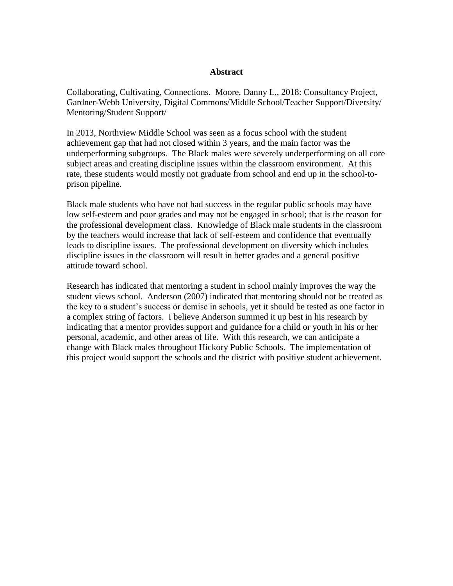## **Abstract**

Collaborating, Cultivating, Connections. Moore, Danny L., 2018: Consultancy Project, Gardner-Webb University, Digital Commons/Middle School/Teacher Support/Diversity/ Mentoring/Student Support/

In 2013, Northview Middle School was seen as a focus school with the student achievement gap that had not closed within 3 years, and the main factor was the underperforming subgroups. The Black males were severely underperforming on all core subject areas and creating discipline issues within the classroom environment. At this rate, these students would mostly not graduate from school and end up in the school-toprison pipeline.

Black male students who have not had success in the regular public schools may have low self-esteem and poor grades and may not be engaged in school; that is the reason for the professional development class. Knowledge of Black male students in the classroom by the teachers would increase that lack of self-esteem and confidence that eventually leads to discipline issues. The professional development on diversity which includes discipline issues in the classroom will result in better grades and a general positive attitude toward school.

Research has indicated that mentoring a student in school mainly improves the way the student views school. Anderson (2007) indicated that mentoring should not be treated as the key to a student's success or demise in schools, yet it should be tested as one factor in a complex string of factors. I believe Anderson summed it up best in his research by indicating that a mentor provides support and guidance for a child or youth in his or her personal, academic, and other areas of life. With this research, we can anticipate a change with Black males throughout Hickory Public Schools. The implementation of this project would support the schools and the district with positive student achievement.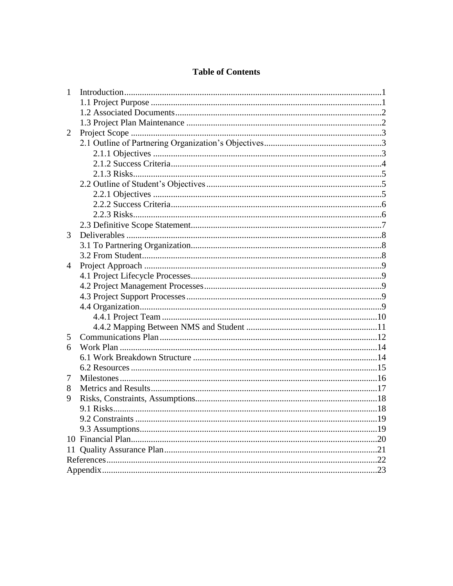# **Table of Contents**

| 1 |     |
|---|-----|
|   |     |
|   |     |
|   |     |
| 2 |     |
|   |     |
|   |     |
|   |     |
|   |     |
|   |     |
|   |     |
|   |     |
|   |     |
|   |     |
| 3 |     |
|   |     |
|   |     |
| 4 |     |
|   |     |
|   |     |
|   |     |
|   |     |
|   |     |
|   |     |
| 5 |     |
| 6 |     |
|   |     |
|   |     |
| 7 |     |
| 8 |     |
| 9 |     |
|   |     |
|   |     |
|   | .19 |
|   |     |
|   |     |
|   |     |
|   |     |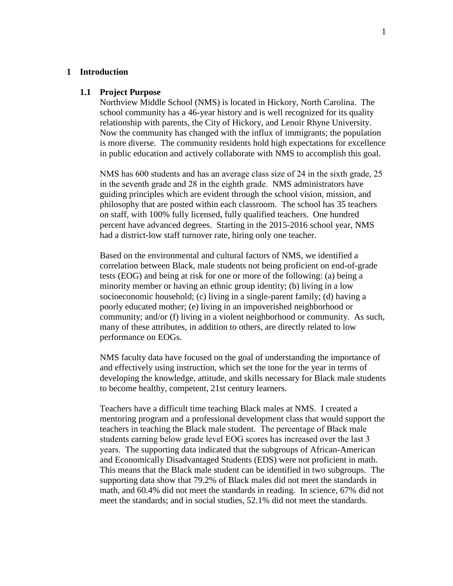#### **1 Introduction**

#### **1.1 Project Purpose**

Northview Middle School (NMS) is located in Hickory, North Carolina. The school community has a 46-year history and is well recognized for its quality relationship with parents, the City of Hickory, and Lenoir Rhyne University. Now the community has changed with the influx of immigrants; the population is more diverse. The community residents hold high expectations for excellence in public education and actively collaborate with NMS to accomplish this goal.

NMS has 600 students and has an average class size of 24 in the sixth grade, 25 in the seventh grade and 28 in the eighth grade. NMS administrators have guiding principles which are evident through the school vision, mission, and philosophy that are posted within each classroom. The school has 35 teachers on staff, with 100% fully licensed, fully qualified teachers. One hundred percent have advanced degrees. Starting in the 2015-2016 school year, NMS had a district-low staff turnover rate, hiring only one teacher.

Based on the environmental and cultural factors of NMS, we identified a correlation between Black, male students not being proficient on end-of-grade tests (EOG) and being at risk for one or more of the following: (a) being a minority member or having an ethnic group identity; (b) living in a low socioeconomic household; (c) living in a single-parent family; (d) having a poorly educated mother; (e) living in an impoverished neighborhood or community; and/or (f) living in a violent neighborhood or community. As such, many of these attributes, in addition to others, are directly related to low performance on EOGs.

NMS faculty data have focused on the goal of understanding the importance of and effectively using instruction, which set the tone for the year in terms of developing the knowledge, attitude, and skills necessary for Black male students to become healthy, competent, 21st century learners.

Teachers have a difficult time teaching Black males at NMS. I created a mentoring program and a professional development class that would support the teachers in teaching the Black male student. The percentage of Black male students earning below grade level EOG scores has increased over the last 3 years. The supporting data indicated that the subgroups of African-American and Economically Disadvantaged Students (EDS) were not proficient in math. This means that the Black male student can be identified in two subgroups. The supporting data show that 79.2% of Black males did not meet the standards in math, and 60.4% did not meet the standards in reading. In science, 67% did not meet the standards; and in social studies, 52.1% did not meet the standards.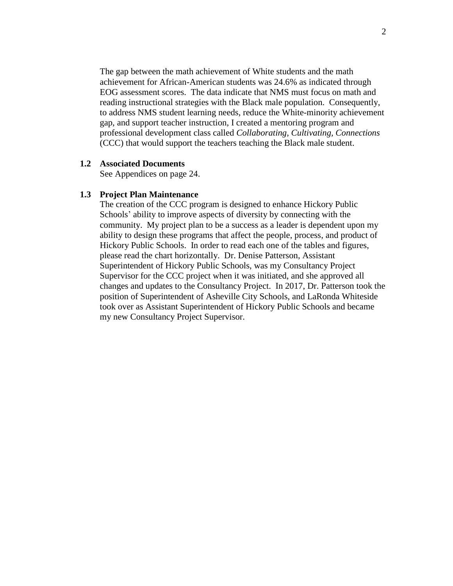The gap between the math achievement of White students and the math achievement for African-American students was 24.6% as indicated through EOG assessment scores. The data indicate that NMS must focus on math and reading instructional strategies with the Black male population. Consequently, to address NMS student learning needs, reduce the White-minority achievement gap, and support teacher instruction, I created a mentoring program and professional development class called *Collaborating, Cultivating, Connections*  (CCC) that would support the teachers teaching the Black male student.

# **1.2 Associated Documents**

See Appendices on page 24.

## **1.3 Project Plan Maintenance**

The creation of the CCC program is designed to enhance Hickory Public Schools' ability to improve aspects of diversity by connecting with the community. My project plan to be a success as a leader is dependent upon my ability to design these programs that affect the people, process, and product of Hickory Public Schools. In order to read each one of the tables and figures, please read the chart horizontally. Dr. Denise Patterson, Assistant Superintendent of Hickory Public Schools, was my Consultancy Project Supervisor for the CCC project when it was initiated, and she approved all changes and updates to the Consultancy Project. In 2017, Dr. Patterson took the position of Superintendent of Asheville City Schools, and LaRonda Whiteside took over as Assistant Superintendent of Hickory Public Schools and became my new Consultancy Project Supervisor.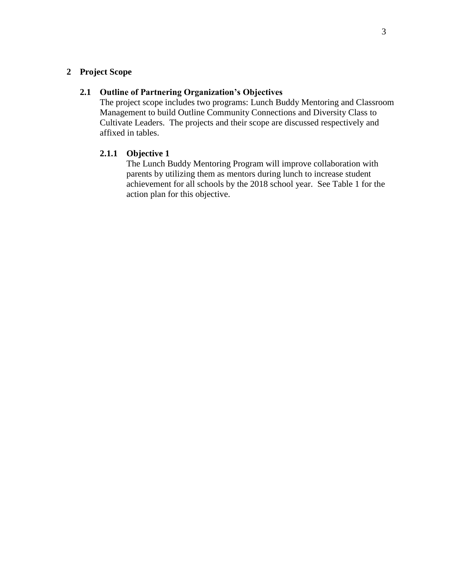# **2 Project Scope**

# **2.1 Outline of Partnering Organization's Objectives**

The project scope includes two programs: Lunch Buddy Mentoring and Classroom Management to build Outline Community Connections and Diversity Class to Cultivate Leaders. The projects and their scope are discussed respectively and affixed in tables.

# **2.1.1 Objective 1**

The Lunch Buddy Mentoring Program will improve collaboration with parents by utilizing them as mentors during lunch to increase student achievement for all schools by the 2018 school year. See Table 1 for the action plan for this objective.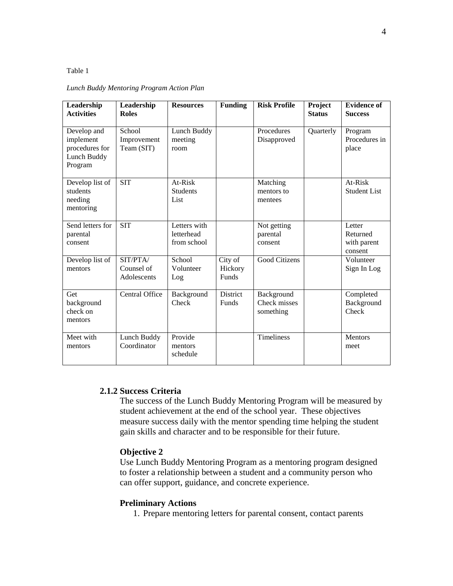#### Table 1

| Leadership<br><b>Activities</b>                                      | Leadership<br><b>Roles</b>            | <b>Resources</b>                          | <b>Funding</b>              | <b>Risk Profile</b>                     | Project<br><b>Status</b> | <b>Evidence of</b><br><b>Success</b>         |
|----------------------------------------------------------------------|---------------------------------------|-------------------------------------------|-----------------------------|-----------------------------------------|--------------------------|----------------------------------------------|
| Develop and<br>implement<br>procedures for<br>Lunch Buddy<br>Program | School<br>Improvement<br>Team (SIT)   | Lunch Buddy<br>meeting<br>room            |                             | Procedures<br>Disapproved               | Quarterly                | Program<br>Procedures in<br>place            |
| Develop list of<br>students<br>needing<br>mentoring                  | <b>SIT</b>                            | At-Risk<br><b>Students</b><br>List        |                             | Matching<br>mentors to<br>mentees       |                          | At-Risk<br><b>Student List</b>               |
| Send letters for<br>parental<br>consent                              | <b>SIT</b>                            | Letters with<br>letterhead<br>from school |                             | Not getting<br>parental<br>consent      |                          | Letter<br>Returned<br>with parent<br>consent |
| Develop list of<br>mentors                                           | SIT/PTA/<br>Counsel of<br>Adolescents | School<br>Volunteer<br>Log                | City of<br>Hickory<br>Funds | <b>Good Citizens</b>                    |                          | Volunteer<br>Sign In Log                     |
| Get<br>background<br>check on<br>mentors                             | <b>Central Office</b>                 | Background<br>Check                       | <b>District</b><br>Funds    | Background<br>Check misses<br>something |                          | Completed<br>Background<br>Check             |
| Meet with<br>mentors                                                 | Lunch Buddy<br>Coordinator            | Provide<br>mentors<br>schedule            |                             | Timeliness                              |                          | Mentors<br>meet                              |

#### *Lunch Buddy Mentoring Program Action Plan*

# **2.1.2 Success Criteria**

The success of the Lunch Buddy Mentoring Program will be measured by student achievement at the end of the school year. These objectives measure success daily with the mentor spending time helping the student gain skills and character and to be responsible for their future.

#### **Objective 2**

Use Lunch Buddy Mentoring Program as a mentoring program designed to foster a relationship between a student and a community person who can offer support, guidance, and concrete experience.

#### **Preliminary Actions**

1. Prepare mentoring letters for parental consent, contact parents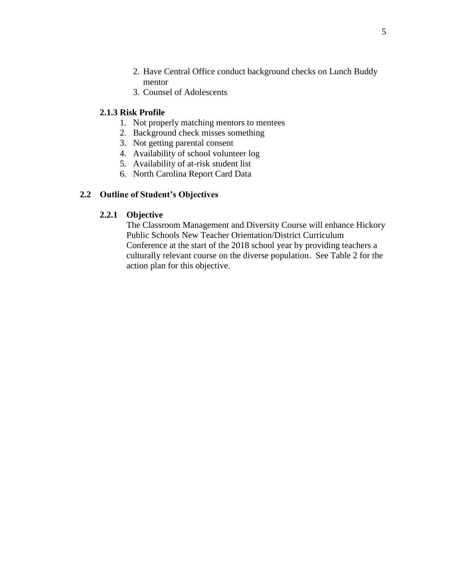- 2. Have Central Office conduct background checks on Lunch Buddy mentor
- 3. Counsel of Adolescents

# **2.1.3 Risk Profile**

- 1. Not properly matching mentors to mentees
- 2. Background check misses something
- 3. Not getting parental consent
- 4. Availability of school volunteer log
- 5. Availability of at-risk student list
- 6. North Carolina Report Card Data

## **2.2 Outline of Student's Objectives**

## **2.2.1 Objective**

The Classroom Management and Diversity Course will enhance Hickory Public Schools New Teacher Orientation/District Curriculum Conference at the start of the 2018 school year by providing teachers a culturally relevant course on the diverse population. See Table 2 for the action plan for this objective.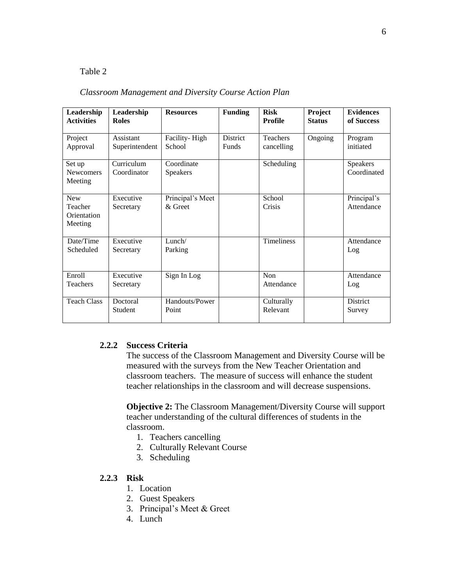# Table 2

## *Classroom Management and Diversity Course Action Plan*

| Leadership<br><b>Activities</b>                 | Leadership<br><b>Roles</b>  | <b>Resources</b>            | <b>Funding</b>                  | <b>Risk</b><br><b>Profile</b> | Project<br><b>Status</b> | <b>Evidences</b><br>of Success |
|-------------------------------------------------|-----------------------------|-----------------------------|---------------------------------|-------------------------------|--------------------------|--------------------------------|
| Project<br>Approval                             | Assistant<br>Superintendent | Facility-High<br>School     | <b>District</b><br><b>Funds</b> | <b>Teachers</b><br>cancelling | Ongoing                  | Program<br>initiated           |
| Set up<br><b>Newcomers</b><br>Meeting           | Curriculum<br>Coordinator   | Coordinate<br>Speakers      |                                 | Scheduling                    |                          | Speakers<br>Coordinated        |
| <b>New</b><br>Teacher<br>Orientation<br>Meeting | Executive<br>Secretary      | Principal's Meet<br>& Greet |                                 | School<br>Crisis              |                          | Principal's<br>Attendance      |
| Date/Time<br>Scheduled                          | Executive<br>Secretary      | Lunch/<br>Parking           |                                 | <b>Timeliness</b>             |                          | Attendance<br>Log              |
| Enroll<br><b>Teachers</b>                       | Executive<br>Secretary      | Sign In Log                 |                                 | <b>Non</b><br>Attendance      |                          | Attendance<br>Log              |
| <b>Teach Class</b>                              | Doctoral<br>Student         | Handouts/Power<br>Point     |                                 | Culturally<br>Relevant        |                          | District<br>Survey             |

# **2.2.2 Success Criteria**

The success of the Classroom Management and Diversity Course will be measured with the surveys from the New Teacher Orientation and classroom teachers. The measure of success will enhance the student teacher relationships in the classroom and will decrease suspensions.

**Objective 2:** The Classroom Management/Diversity Course will support teacher understanding of the cultural differences of students in the classroom.

- 1. Teachers cancelling
- 2. Culturally Relevant Course
- 3. Scheduling

## **2.2.3 Risk**

- 1. Location
- 2. Guest Speakers
- 3. Principal's Meet & Greet
- 4. Lunch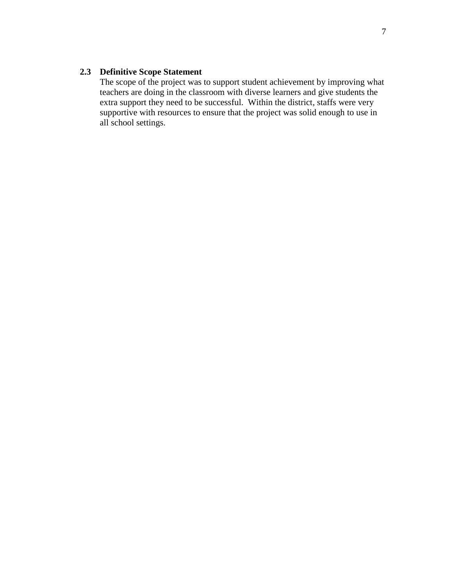# **2.3 Definitive Scope Statement**

The scope of the project was to support student achievement by improving what teachers are doing in the classroom with diverse learners and give students the extra support they need to be successful. Within the district, staffs were very supportive with resources to ensure that the project was solid enough to use in all school settings.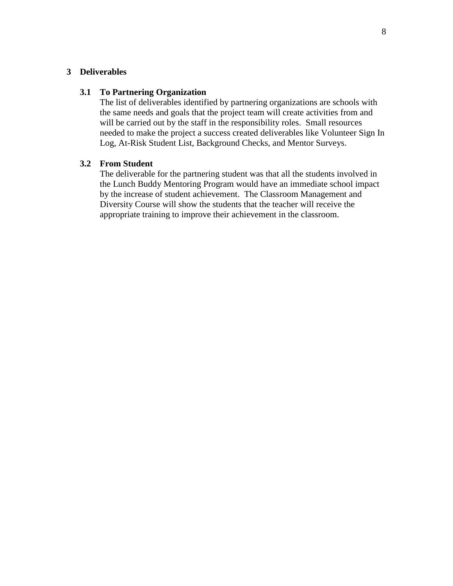# **3 Deliverables**

#### **3.1 To Partnering Organization**

The list of deliverables identified by partnering organizations are schools with the same needs and goals that the project team will create activities from and will be carried out by the staff in the responsibility roles. Small resources needed to make the project a success created deliverables like Volunteer Sign In Log, At-Risk Student List, Background Checks, and Mentor Surveys.

# **3.2 From Student**

The deliverable for the partnering student was that all the students involved in the Lunch Buddy Mentoring Program would have an immediate school impact by the increase of student achievement. The Classroom Management and Diversity Course will show the students that the teacher will receive the appropriate training to improve their achievement in the classroom.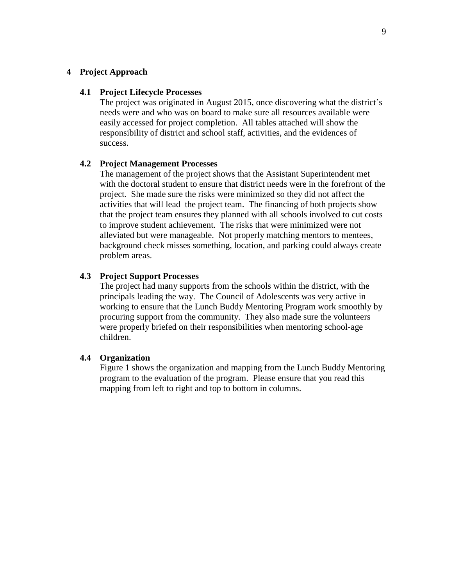#### **4 Project Approach**

#### **4.1 Project Lifecycle Processes**

The project was originated in August 2015, once discovering what the district's needs were and who was on board to make sure all resources available were easily accessed for project completion. All tables attached will show the responsibility of district and school staff, activities, and the evidences of success.

## **4.2 Project Management Processes**

The management of the project shows that the Assistant Superintendent met with the doctoral student to ensure that district needs were in the forefront of the project. She made sure the risks were minimized so they did not affect the activities that will lead the project team. The financing of both projects show that the project team ensures they planned with all schools involved to cut costs to improve student achievement. The risks that were minimized were not alleviated but were manageable. Not properly matching mentors to mentees, background check misses something, location, and parking could always create problem areas.

## **4.3 Project Support Processes**

The project had many supports from the schools within the district, with the principals leading the way. The Council of Adolescents was very active in working to ensure that the Lunch Buddy Mentoring Program work smoothly by procuring support from the community. They also made sure the volunteers were properly briefed on their responsibilities when mentoring school-age children.

## **4.4 Organization**

Figure 1 shows the organization and mapping from the Lunch Buddy Mentoring program to the evaluation of the program. Please ensure that you read this mapping from left to right and top to bottom in columns.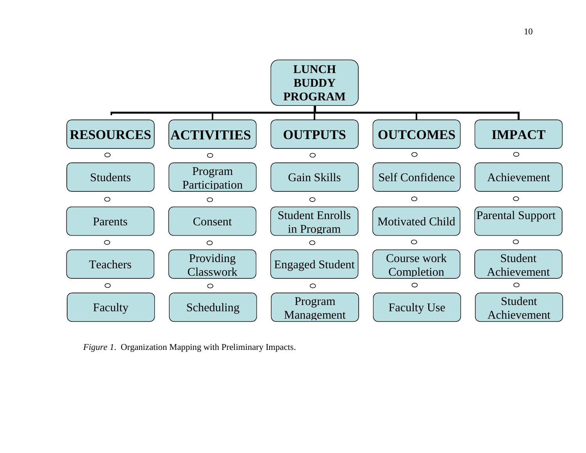

*Figure 1*. Organization Mapping with Preliminary Impacts.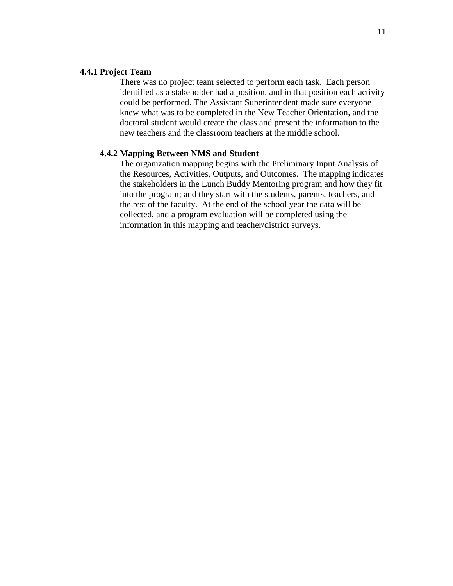## **4.4.1 Project Team**

There was no project team selected to perform each task. Each person identified as a stakeholder had a position, and in that position each activity could be performed. The Assistant Superintendent made sure everyone knew what was to be completed in the New Teacher Orientation, and the doctoral student would create the class and present the information to the new teachers and the classroom teachers at the middle school.

#### **4.4.2 Mapping Between NMS and Student**

The organization mapping begins with the Preliminary Input Analysis of the Resources, Activities, Outputs, and Outcomes. The mapping indicates the stakeholders in the Lunch Buddy Mentoring program and how they fit into the program; and they start with the students, parents, teachers, and the rest of the faculty. At the end of the school year the data will be collected, and a program evaluation will be completed using the information in this mapping and teacher/district surveys.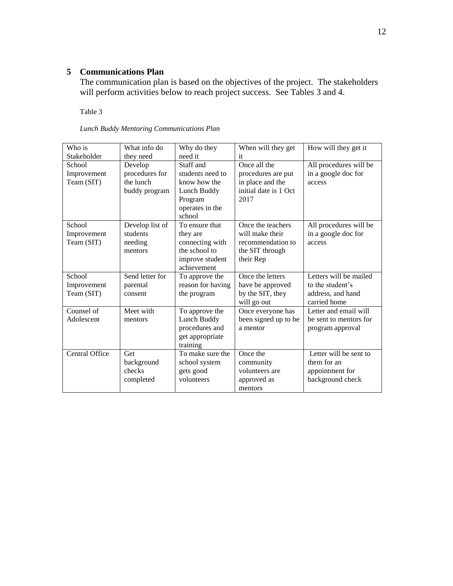# **5 Communications Plan**

The communication plan is based on the objectives of the project. The stakeholders will perform activities below to reach project success. See Tables 3 and 4.

Table 3

| Who is         | What info do    | Why do they       | When will they get    | How will they get it   |
|----------------|-----------------|-------------------|-----------------------|------------------------|
| Stakeholder    | they need       | need it           | it                    |                        |
| School         | Develop         | Staff and         | Once all the          | All procedures will be |
| Improvement    | procedures for  | students need to  | procedures are put    | in a google doc for    |
| Team (SIT)     | the lunch       | know how the      | in place and the      | access                 |
|                | buddy program   | Lunch Buddy       | initial date is 1 Oct |                        |
|                |                 | Program           | 2017                  |                        |
|                |                 | operates in the   |                       |                        |
|                |                 | school            |                       |                        |
| School         | Develop list of | To ensure that    | Once the teachers     | All procedures will be |
| Improvement    | students        | they are          | will make their       | in a google doc for    |
| Team (SIT)     | needing         | connecting with   | recommendation to     | access                 |
|                | mentors         | the school to     | the SIT through       |                        |
|                |                 | improve student   | their Rep             |                        |
|                |                 | achievement       |                       |                        |
| School         | Send letter for | To approve the    | Once the letters      | Letters will be mailed |
| Improvement    | parental        | reason for having | have be approved      | to the student's       |
| Team (SIT)     | consent         | the program       | by the SIT, they      | address, and hand      |
|                |                 |                   | will go out           | carried home           |
| Counsel of     | Meet with       | To approve the    | Once everyone has     | Letter and email will  |
| Adolescent     | mentors         | Lunch Buddy       | been signed up to be  | be sent to mentors for |
|                |                 | procedures and    | a mentor              | program approval       |
|                |                 | get appropriate   |                       |                        |
|                |                 | training          |                       |                        |
| Central Office | Get             | To make sure the  | Once the              | Letter will be sent to |
|                | background      | school system     | community             | them for an            |
|                | checks          | gets good         | volunteers are        | appointment for        |
|                | completed       | volunteers        | approved as           | background check       |
|                |                 |                   | mentors               |                        |

*Lunch Buddy Mentoring Communications Plan*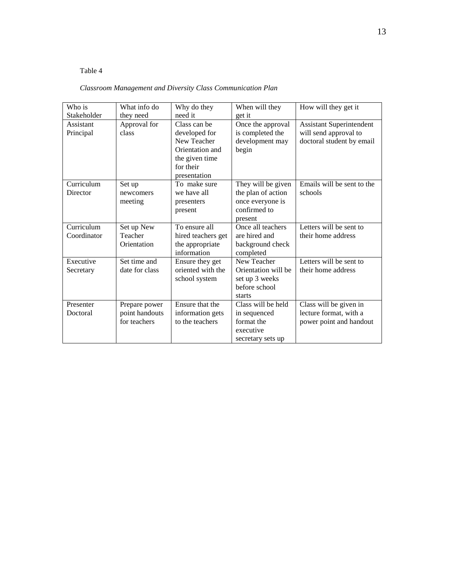# Table 4

# *Classroom Management and Diversity Class Communication Plan*

| Who is      | What info do   | Why do they        | When will they      | How will they get it            |
|-------------|----------------|--------------------|---------------------|---------------------------------|
| Stakeholder | they need      | need it            | get it              |                                 |
| Assistant   | Approval for   | Class can be       | Once the approval   | <b>Assistant Superintendent</b> |
| Principal   | class          | developed for      | is completed the    | will send approval to           |
|             |                | New Teacher        | development may     | doctoral student by email       |
|             |                | Orientation and    | begin               |                                 |
|             |                | the given time     |                     |                                 |
|             |                | for their          |                     |                                 |
|             |                | presentation       |                     |                                 |
| Curriculum  | Set up         | To make sure       | They will be given  | Emails will be sent to the      |
| Director    | newcomers      | we have all        | the plan of action  | schools                         |
|             | meeting        | presenters         | once everyone is    |                                 |
|             |                | present            | confirmed to        |                                 |
|             |                |                    | present             |                                 |
| Curriculum  | Set up New     | To ensure all      | Once all teachers   | Letters will be sent to         |
| Coordinator | Teacher        | hired teachers get | are hired and       | their home address              |
|             | Orientation    | the appropriate    | background check    |                                 |
|             |                | information        | completed           |                                 |
| Executive   | Set time and   | Ensure they get    | New Teacher         | Letters will be sent to         |
| Secretary   | date for class | oriented with the  | Orientation will be | their home address              |
|             |                | school system      | set up 3 weeks      |                                 |
|             |                |                    | before school       |                                 |
|             |                |                    | starts              |                                 |
| Presenter   | Prepare power  | Ensure that the    | Class will be held  | Class will be given in          |
| Doctoral    | point handouts | information gets   | in sequenced        | lecture format, with a          |
|             | for teachers   | to the teachers    | format the          | power point and handout         |
|             |                |                    | executive           |                                 |
|             |                |                    | secretary sets up   |                                 |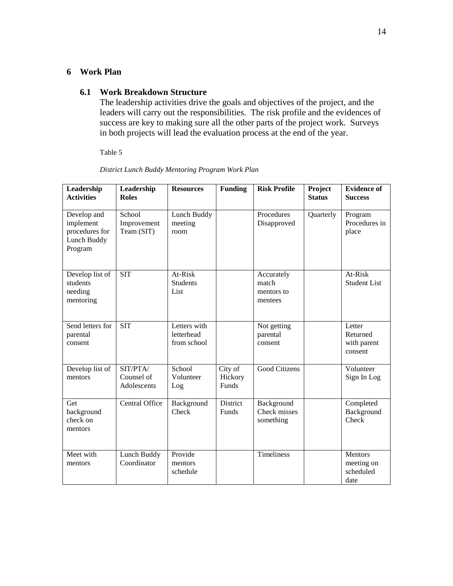# **6 Work Plan**

## **6.1 Work Breakdown Structure**

The leadership activities drive the goals and objectives of the project, and the leaders will carry out the responsibilities. The risk profile and the evidences of success are key to making sure all the other parts of the project work. Surveys in both projects will lead the evaluation process at the end of the year.

Table 5

| Leadership<br><b>Activities</b>                                      | Leadership<br><b>Roles</b>            | <b>Resources</b>                          | <b>Funding</b>              | <b>Risk Profile</b>                          | Project<br><b>Status</b> | <b>Evidence of</b><br><b>Success</b>         |
|----------------------------------------------------------------------|---------------------------------------|-------------------------------------------|-----------------------------|----------------------------------------------|--------------------------|----------------------------------------------|
| Develop and<br>implement<br>procedures for<br>Lunch Buddy<br>Program | School<br>Improvement<br>Team (SIT)   | Lunch Buddy<br>meeting<br>room            |                             | Procedures<br>Disapproved                    | Quarterly                | Program<br>Procedures in<br>place            |
| Develop list of<br>students<br>needing<br>mentoring                  | <b>SIT</b>                            | At-Risk<br><b>Students</b><br>List        |                             | Accurately<br>match<br>mentors to<br>mentees |                          | At-Risk<br><b>Student List</b>               |
| Send letters for<br>parental<br>consent                              | $\overline{\text{SIT}}$               | Letters with<br>letterhead<br>from school |                             | Not getting<br>parental<br>consent           |                          | Letter<br>Returned<br>with parent<br>consent |
| Develop list of<br>mentors                                           | SIT/PTA/<br>Counsel of<br>Adolescents | School<br>Volunteer<br>Log                | City of<br>Hickory<br>Funds | <b>Good Citizens</b>                         |                          | Volunteer<br>Sign In Log                     |
| Get<br>background<br>check on<br>mentors                             | Central Office                        | Background<br>Check                       | District<br>Funds           | Background<br>Check misses<br>something      |                          | Completed<br>Background<br>Check             |
| Meet with<br>mentors                                                 | Lunch Buddy<br>Coordinator            | Provide<br>mentors<br>schedule            |                             | Timeliness                                   |                          | Mentors<br>meeting on<br>scheduled<br>date   |

*District Lunch Buddy Mentoring Program Work Plan*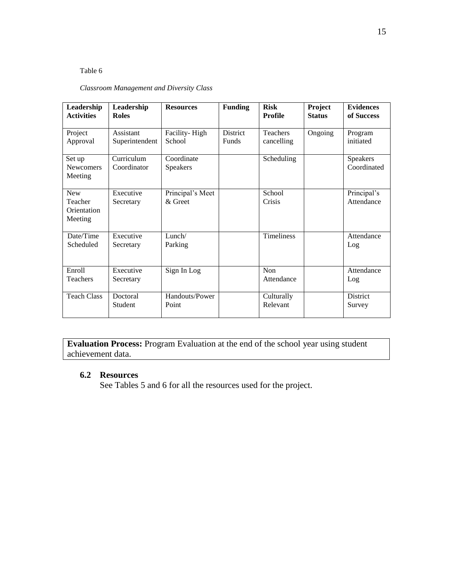## Table 6

# *Classroom Management and Diversity Class*

| Leadership<br><b>Activities</b>                 | Leadership<br><b>Roles</b>  | <b>Resources</b>              | <b>Funding</b>                  | <b>Risk</b><br>Profile   | Project<br><b>Status</b> | <b>Evidences</b><br>of Success |
|-------------------------------------------------|-----------------------------|-------------------------------|---------------------------------|--------------------------|--------------------------|--------------------------------|
| Project<br>Approval                             | Assistant<br>Superintendent | Facility-High<br>School       | <b>District</b><br><b>Funds</b> | Teachers<br>cancelling   | Ongoing                  | Program<br>initiated           |
| Set up<br><b>Newcomers</b><br>Meeting           | Curriculum<br>Coordinator   | Coordinate<br><b>Speakers</b> |                                 | Scheduling               |                          | <b>Speakers</b><br>Coordinated |
| <b>New</b><br>Teacher<br>Orientation<br>Meeting | Executive<br>Secretary      | Principal's Meet<br>& Greet   |                                 | School<br>Crisis         |                          | Principal's<br>Attendance      |
| Date/Time<br>Scheduled                          | Executive<br>Secretary      | Lunch/<br>Parking             |                                 | <b>Timeliness</b>        |                          | Attendance<br>Log              |
| Enroll<br><b>Teachers</b>                       | Executive<br>Secretary      | Sign In Log                   |                                 | <b>Non</b><br>Attendance |                          | Attendance<br>Log              |
| <b>Teach Class</b>                              | Doctoral<br><b>Student</b>  | Handouts/Power<br>Point       |                                 | Culturally<br>Relevant   |                          | District<br>Survey             |

**Evaluation Process:** Program Evaluation at the end of the school year using student achievement data.

# **6.2 Resources**

See Tables 5 and 6 for all the resources used for the project.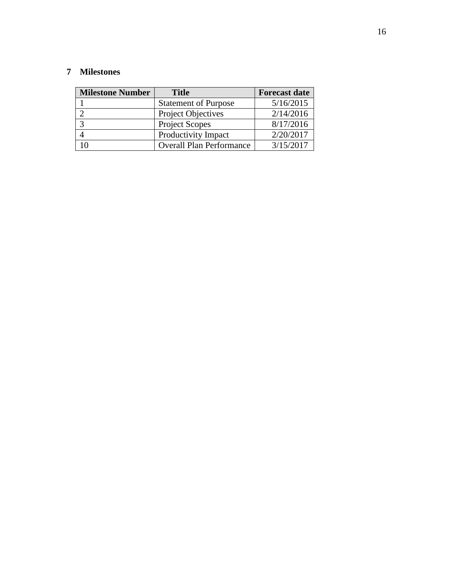# **7 Milestones**

| <b>Milestone Number</b> | <b>Title</b>                    | <b>Forecast date</b> |
|-------------------------|---------------------------------|----------------------|
|                         | <b>Statement of Purpose</b>     | 5/16/2015            |
|                         | Project Objectives              | 2/14/2016            |
|                         | <b>Project Scopes</b>           | 8/17/2016            |
|                         | Productivity Impact             | 2/20/2017            |
|                         | <b>Overall Plan Performance</b> | 3/15/2017            |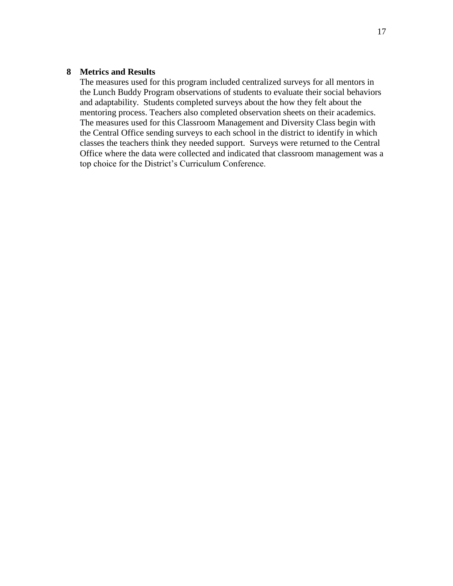# **8 Metrics and Results**

The measures used for this program included centralized surveys for all mentors in the Lunch Buddy Program observations of students to evaluate their social behaviors and adaptability. Students completed surveys about the how they felt about the mentoring process. Teachers also completed observation sheets on their academics. The measures used for this Classroom Management and Diversity Class begin with the Central Office sending surveys to each school in the district to identify in which classes the teachers think they needed support. Surveys were returned to the Central Office where the data were collected and indicated that classroom management was a top choice for the District's Curriculum Conference.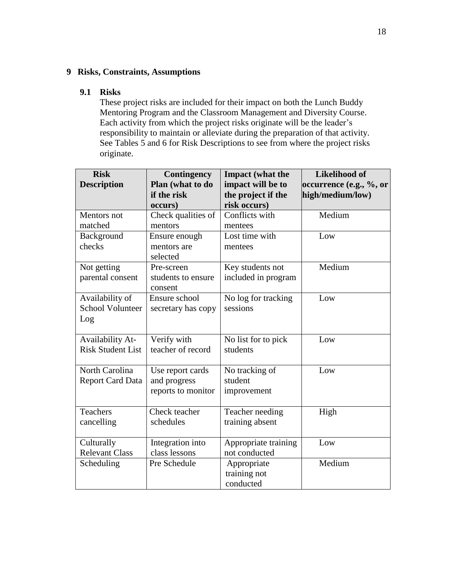# **9 Risks, Constraints, Assumptions**

## **9.1 Risks**

These project risks are included for their impact on both the Lunch Buddy Mentoring Program and the Classroom Management and Diversity Course. Each activity from which the project risks originate will be the leader's responsibility to maintain or alleviate during the preparation of that activity. See Tables 5 and 6 for Risk Descriptions to see from where the project risks originate.

| <b>Risk</b><br><b>Description</b>                   | Contingency<br>Plan (what to do<br>if the risk         | <b>Impact</b> (what the<br>impact will be to<br>the project if the | <b>Likelihood of</b><br>occurrence (e.g., %, or<br>high/medium/low) |
|-----------------------------------------------------|--------------------------------------------------------|--------------------------------------------------------------------|---------------------------------------------------------------------|
|                                                     | occurs)                                                | risk occurs)                                                       |                                                                     |
| Mentors not<br>matched                              | Check qualities of<br>mentors                          | Conflicts with<br>mentees                                          | Medium                                                              |
| Background<br>checks                                | Ensure enough<br>mentors are<br>selected               | Lost time with<br>mentees                                          | Low                                                                 |
| Not getting<br>parental consent                     | Pre-screen<br>students to ensure<br>consent            | Key students not<br>included in program                            | Medium                                                              |
| Availability of<br><b>School Volunteer</b><br>Log   | Ensure school<br>secretary has copy                    | No log for tracking<br>sessions                                    | Low                                                                 |
| <b>Availability At-</b><br><b>Risk Student List</b> | Verify with<br>teacher of record                       | No list for to pick<br>students                                    | Low                                                                 |
| North Carolina<br><b>Report Card Data</b>           | Use report cards<br>and progress<br>reports to monitor | No tracking of<br>student<br>improvement                           | Low                                                                 |
| <b>Teachers</b><br>cancelling                       | Check teacher<br>schedules                             | Teacher needing<br>training absent                                 | High                                                                |
| Culturally<br><b>Relevant Class</b>                 | Integration into<br>class lessons                      | Appropriate training<br>not conducted                              | Low                                                                 |
| Scheduling                                          | Pre Schedule                                           | Appropriate<br>training not<br>conducted                           | Medium                                                              |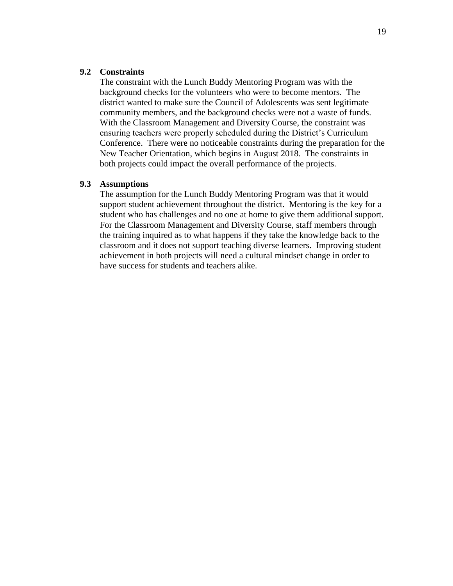## **9.2 Constraints**

The constraint with the Lunch Buddy Mentoring Program was with the background checks for the volunteers who were to become mentors. The district wanted to make sure the Council of Adolescents was sent legitimate community members, and the background checks were not a waste of funds. With the Classroom Management and Diversity Course, the constraint was ensuring teachers were properly scheduled during the District's Curriculum Conference. There were no noticeable constraints during the preparation for the New Teacher Orientation, which begins in August 2018. The constraints in both projects could impact the overall performance of the projects.

#### **9.3 Assumptions**

The assumption for the Lunch Buddy Mentoring Program was that it would support student achievement throughout the district. Mentoring is the key for a student who has challenges and no one at home to give them additional support. For the Classroom Management and Diversity Course, staff members through the training inquired as to what happens if they take the knowledge back to the classroom and it does not support teaching diverse learners. Improving student achievement in both projects will need a cultural mindset change in order to have success for students and teachers alike.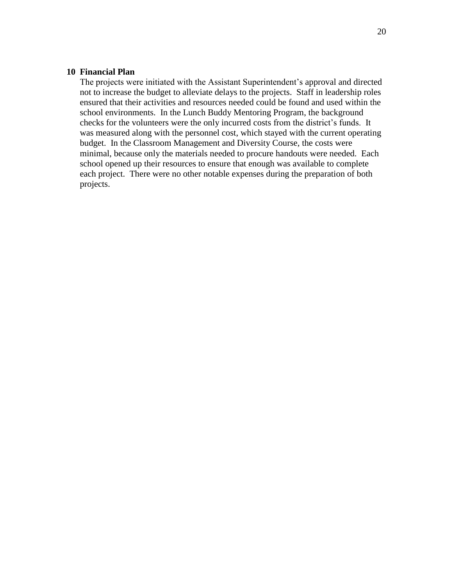## **10 Financial Plan**

The projects were initiated with the Assistant Superintendent's approval and directed not to increase the budget to alleviate delays to the projects. Staff in leadership roles ensured that their activities and resources needed could be found and used within the school environments. In the Lunch Buddy Mentoring Program, the background checks for the volunteers were the only incurred costs from the district's funds. It was measured along with the personnel cost, which stayed with the current operating budget. In the Classroom Management and Diversity Course, the costs were minimal, because only the materials needed to procure handouts were needed. Each school opened up their resources to ensure that enough was available to complete each project. There were no other notable expenses during the preparation of both projects.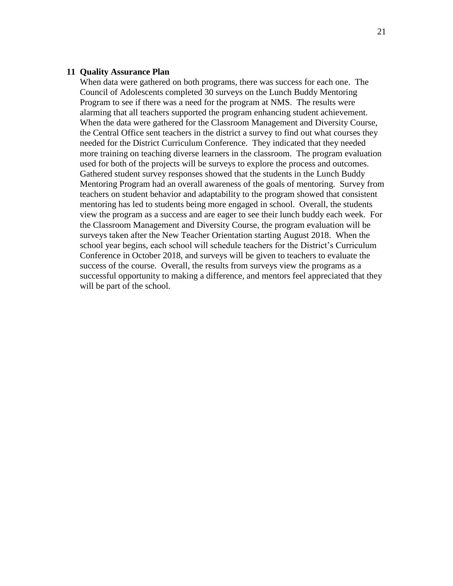## **11 Quality Assurance Plan**

When data were gathered on both programs, there was success for each one. The Council of Adolescents completed 30 surveys on the Lunch Buddy Mentoring Program to see if there was a need for the program at NMS. The results were alarming that all teachers supported the program enhancing student achievement. When the data were gathered for the Classroom Management and Diversity Course, the Central Office sent teachers in the district a survey to find out what courses they needed for the District Curriculum Conference. They indicated that they needed more training on teaching diverse learners in the classroom. The program evaluation used for both of the projects will be surveys to explore the process and outcomes. Gathered student survey responses showed that the students in the Lunch Buddy Mentoring Program had an overall awareness of the goals of mentoring. Survey from teachers on student behavior and adaptability to the program showed that consistent mentoring has led to students being more engaged in school. Overall, the students view the program as a success and are eager to see their lunch buddy each week. For the Classroom Management and Diversity Course, the program evaluation will be surveys taken after the New Teacher Orientation starting August 2018. When the school year begins, each school will schedule teachers for the District's Curriculum Conference in October 2018, and surveys will be given to teachers to evaluate the success of the course. Overall, the results from surveys view the programs as a successful opportunity to making a difference, and mentors feel appreciated that they will be part of the school.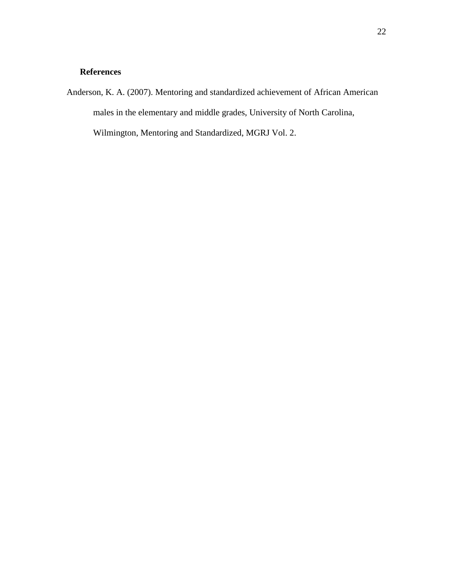# **References**

Anderson, K. A. (2007). Mentoring and standardized achievement of African American males in the elementary and middle grades, University of North Carolina, Wilmington, Mentoring and Standardized, MGRJ Vol. 2.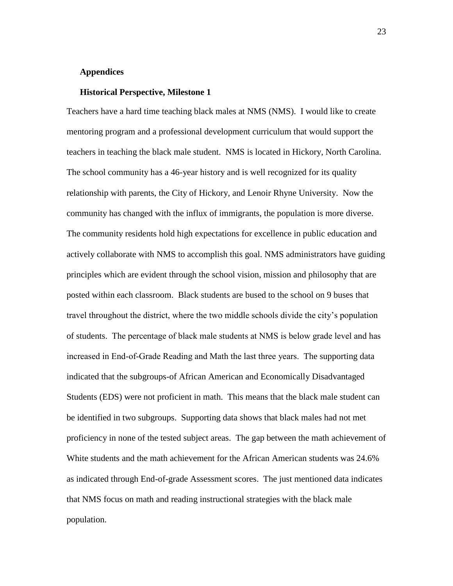#### **Appendices**

#### **Historical Perspective, Milestone 1**

Teachers have a hard time teaching black males at NMS (NMS). I would like to create mentoring program and a professional development curriculum that would support the teachers in teaching the black male student. NMS is located in Hickory, North Carolina. The school community has a 46-year history and is well recognized for its quality relationship with parents, the City of Hickory, and Lenoir Rhyne University. Now the community has changed with the influx of immigrants, the population is more diverse. The community residents hold high expectations for excellence in public education and actively collaborate with NMS to accomplish this goal. NMS administrators have guiding principles which are evident through the school vision, mission and philosophy that are posted within each classroom. Black students are bused to the school on 9 buses that travel throughout the district, where the two middle schools divide the city's population of students. The percentage of black male students at NMS is below grade level and has increased in End-of-Grade Reading and Math the last three years. The supporting data indicated that the subgroups-of African American and Economically Disadvantaged Students (EDS) were not proficient in math. This means that the black male student can be identified in two subgroups. Supporting data shows that black males had not met proficiency in none of the tested subject areas. The gap between the math achievement of White students and the math achievement for the African American students was 24.6% as indicated through End-of-grade Assessment scores. The just mentioned data indicates that NMS focus on math and reading instructional strategies with the black male population.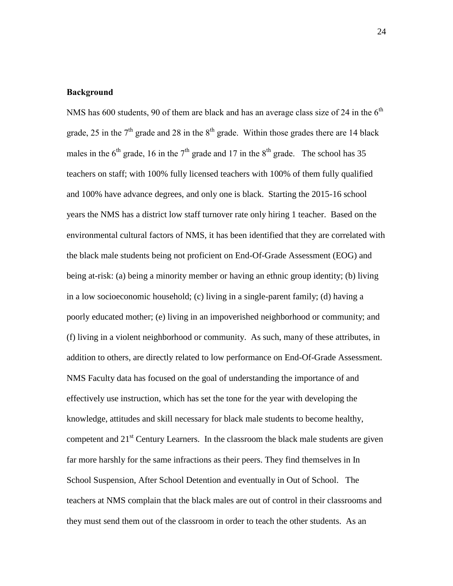## **Background**

NMS has 600 students, 90 of them are black and has an average class size of 24 in the  $6<sup>th</sup>$ grade, 25 in the  $7<sup>th</sup>$  grade and 28 in the  $8<sup>th</sup>$  grade. Within those grades there are 14 black males in the  $6<sup>th</sup>$  grade, 16 in the  $7<sup>th</sup>$  grade and 17 in the  $8<sup>th</sup>$  grade. The school has 35 teachers on staff; with 100% fully licensed teachers with 100% of them fully qualified and 100% have advance degrees, and only one is black. Starting the 2015-16 school years the NMS has a district low staff turnover rate only hiring 1 teacher. Based on the environmental cultural factors of NMS, it has been identified that they are correlated with the black male students being not proficient on End-Of-Grade Assessment (EOG) and being at-risk: (a) being a minority member or having an ethnic group identity; (b) living in a low socioeconomic household; (c) living in a single-parent family; (d) having a poorly educated mother; (e) living in an impoverished neighborhood or community; and (f) living in a violent neighborhood or community. As such, many of these attributes, in addition to others, are directly related to low performance on End-Of-Grade Assessment. NMS Faculty data has focused on the goal of understanding the importance of and effectively use instruction, which has set the tone for the year with developing the knowledge, attitudes and skill necessary for black male students to become healthy, competent and  $21<sup>st</sup>$  Century Learners. In the classroom the black male students are given far more harshly for the same infractions as their peers. They find themselves in In School Suspension, After School Detention and eventually in Out of School. The teachers at NMS complain that the black males are out of control in their classrooms and they must send them out of the classroom in order to teach the other students. As an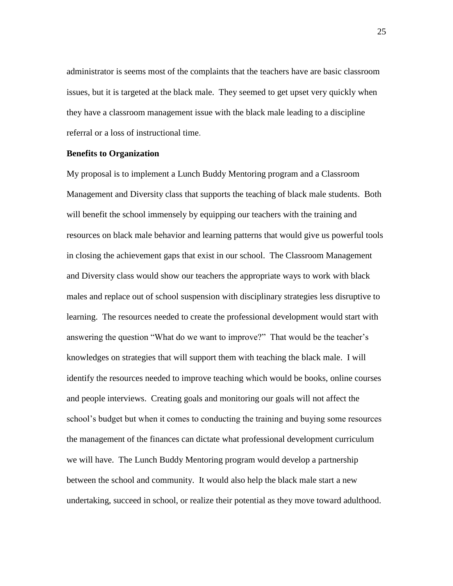administrator is seems most of the complaints that the teachers have are basic classroom issues, but it is targeted at the black male. They seemed to get upset very quickly when they have a classroom management issue with the black male leading to a discipline referral or a loss of instructional time.

#### **Benefits to Organization**

My proposal is to implement a Lunch Buddy Mentoring program and a Classroom Management and Diversity class that supports the teaching of black male students. Both will benefit the school immensely by equipping our teachers with the training and resources on black male behavior and learning patterns that would give us powerful tools in closing the achievement gaps that exist in our school. The Classroom Management and Diversity class would show our teachers the appropriate ways to work with black males and replace out of school suspension with disciplinary strategies less disruptive to learning. The resources needed to create the professional development would start with answering the question "What do we want to improve?" That would be the teacher's knowledges on strategies that will support them with teaching the black male. I will identify the resources needed to improve teaching which would be books, online courses and people interviews. Creating goals and monitoring our goals will not affect the school's budget but when it comes to conducting the training and buying some resources the management of the finances can dictate what professional development curriculum we will have. The Lunch Buddy Mentoring program would develop a partnership between the school and community. It would also help the black male start a new undertaking, succeed in school, or realize their potential as they move toward adulthood.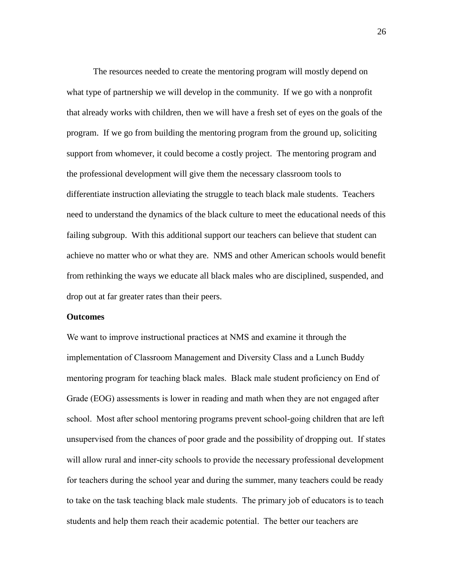The resources needed to create the mentoring program will mostly depend on what type of partnership we will develop in the community. If we go with a nonprofit that already works with children, then we will have a fresh set of eyes on the goals of the program. If we go from building the mentoring program from the ground up, soliciting support from whomever, it could become a costly project. The mentoring program and the professional development will give them the necessary classroom tools to differentiate instruction alleviating the struggle to teach black male students. Teachers need to understand the dynamics of the black culture to meet the educational needs of this failing subgroup. With this additional support our teachers can believe that student can achieve no matter who or what they are. NMS and other American schools would benefit from rethinking the ways we educate all black males who are disciplined, suspended, and drop out at far greater rates than their peers.

#### **Outcomes**

We want to improve instructional practices at NMS and examine it through the implementation of Classroom Management and Diversity Class and a Lunch Buddy mentoring program for teaching black males. Black male student proficiency on End of Grade (EOG) assessments is lower in reading and math when they are not engaged after school. Most after school mentoring programs prevent school-going children that are left unsupervised from the chances of poor grade and the possibility of dropping out. If states will allow rural and inner-city schools to provide the necessary professional development for teachers during the school year and during the summer, many teachers could be ready to take on the task teaching black male students. The primary job of educators is to teach students and help them reach their academic potential. The better our teachers are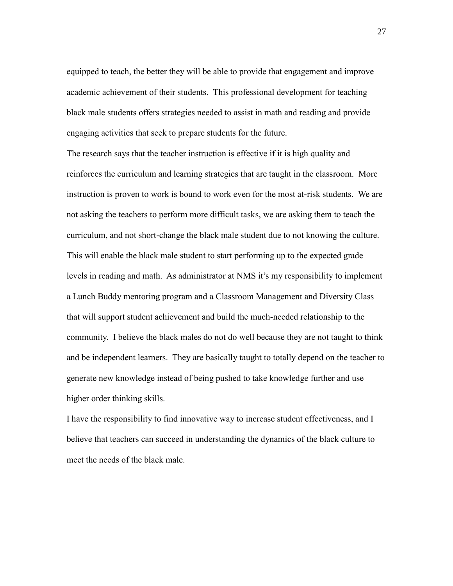equipped to teach, the better they will be able to provide that engagement and improve academic achievement of their students. This professional development for teaching black male students offers strategies needed to assist in math and reading and provide engaging activities that seek to prepare students for the future.

The research says that the teacher instruction is effective if it is high quality and reinforces the curriculum and learning strategies that are taught in the classroom. More instruction is proven to work is bound to work even for the most at-risk students. We are not asking the teachers to perform more difficult tasks, we are asking them to teach the curriculum, and not short-change the black male student due to not knowing the culture. This will enable the black male student to start performing up to the expected grade levels in reading and math. As administrator at NMS it's my responsibility to implement a Lunch Buddy mentoring program and a Classroom Management and Diversity Class that will support student achievement and build the much-needed relationship to the community. I believe the black males do not do well because they are not taught to think and be independent learners. They are basically taught to totally depend on the teacher to generate new knowledge instead of being pushed to take knowledge further and use higher order thinking skills.

I have the responsibility to find innovative way to increase student effectiveness, and I believe that teachers can succeed in understanding the dynamics of the black culture to meet the needs of the black male.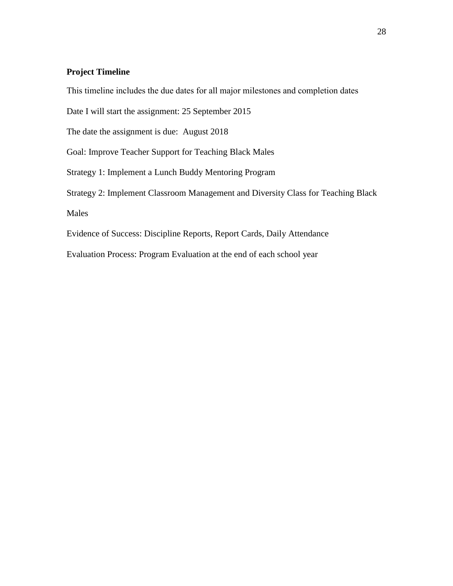# **Project Timeline**

This timeline includes the due dates for all major milestones and completion dates

Date I will start the assignment: 25 September 2015

The date the assignment is due: August 2018

Goal: Improve Teacher Support for Teaching Black Males

Strategy 1: Implement a Lunch Buddy Mentoring Program

Strategy 2: Implement Classroom Management and Diversity Class for Teaching Black

Males

Evidence of Success: Discipline Reports, Report Cards, Daily Attendance

Evaluation Process: Program Evaluation at the end of each school year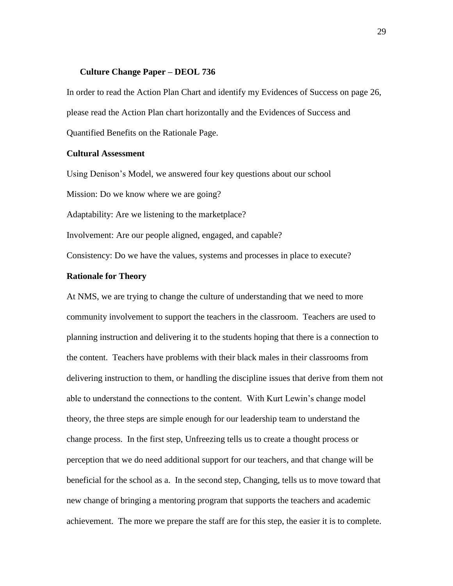#### **Culture Change Paper – DEOL 736**

In order to read the Action Plan Chart and identify my Evidences of Success on page 26, please read the Action Plan chart horizontally and the Evidences of Success and Quantified Benefits on the Rationale Page.

#### **Cultural Assessment**

Using Denison's Model, we answered four key questions about our school

Mission: Do we know where we are going?

Adaptability: Are we listening to the marketplace?

Involvement: Are our people aligned, engaged, and capable?

Consistency: Do we have the values, systems and processes in place to execute?

#### **Rationale for Theory**

At NMS, we are trying to change the culture of understanding that we need to more community involvement to support the teachers in the classroom. Teachers are used to planning instruction and delivering it to the students hoping that there is a connection to the content. Teachers have problems with their black males in their classrooms from delivering instruction to them, or handling the discipline issues that derive from them not able to understand the connections to the content. With Kurt Lewin's change model theory, the three steps are simple enough for our leadership team to understand the change process. In the first step, Unfreezing tells us to create a thought process or perception that we do need additional support for our teachers, and that change will be beneficial for the school as a. In the second step, Changing, tells us to move toward that new change of bringing a mentoring program that supports the teachers and academic achievement. The more we prepare the staff are for this step, the easier it is to complete.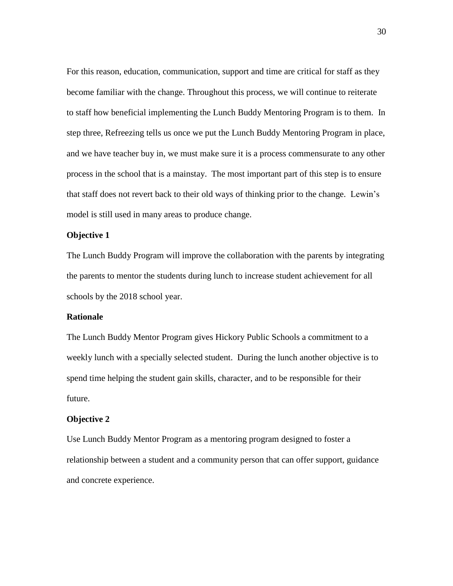For this reason, education, communication, support and time are critical for staff as they become familiar with the change. Throughout this process, we will continue to reiterate to staff how beneficial implementing the Lunch Buddy Mentoring Program is to them. In step three, Refreezing tells us once we put the Lunch Buddy Mentoring Program in place, and we have teacher buy in, we must make sure it is a process commensurate to any other process in the school that is a mainstay. The most important part of this step is to ensure that staff does not revert back to their old ways of thinking prior to the change. Lewin's model is still used in many areas to produce change.

## **Objective 1**

The Lunch Buddy Program will improve the collaboration with the parents by integrating the parents to mentor the students during lunch to increase student achievement for all schools by the 2018 school year.

## **Rationale**

The Lunch Buddy Mentor Program gives Hickory Public Schools a commitment to a weekly lunch with a specially selected student. During the lunch another objective is to spend time helping the student gain skills, character, and to be responsible for their future.

#### **Objective 2**

Use Lunch Buddy Mentor Program as a mentoring program designed to foster a relationship between a student and a community person that can offer support, guidance and concrete experience.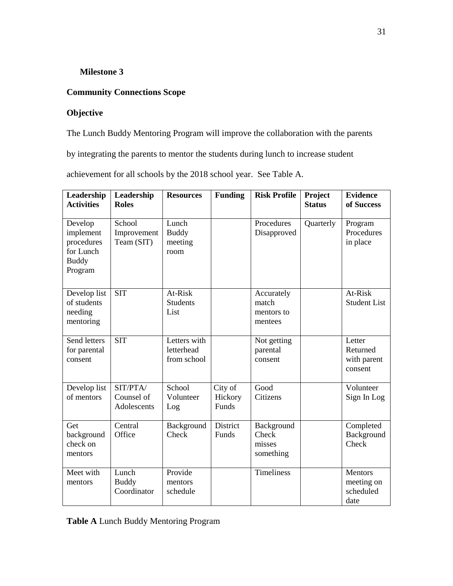# **Milestone 3**

# **Community Connections Scope**

# **Objective**

The Lunch Buddy Mentoring Program will improve the collaboration with the parents

by integrating the parents to mentor the students during lunch to increase student

achievement for all schools by the 2018 school year. See Table A.

| Leadership<br><b>Activities</b>                                            | Leadership<br><b>Roles</b>            | <b>Resources</b>                          | <b>Funding</b>              | <b>Risk Profile</b>                          | Project<br><b>Status</b> | <b>Evidence</b><br>of Success                     |
|----------------------------------------------------------------------------|---------------------------------------|-------------------------------------------|-----------------------------|----------------------------------------------|--------------------------|---------------------------------------------------|
| Develop<br>implement<br>procedures<br>for Lunch<br><b>Buddy</b><br>Program | School<br>Improvement<br>Team (SIT)   | Lunch<br><b>Buddy</b><br>meeting<br>room  |                             | Procedures<br>Disapproved                    | Quarterly                | Program<br>Procedures<br>in place                 |
| Develop list<br>of students<br>needing<br>mentoring                        | <b>SIT</b>                            | At-Risk<br><b>Students</b><br>List        |                             | Accurately<br>match<br>mentors to<br>mentees |                          | At-Risk<br><b>Student List</b>                    |
| Send letters<br>for parental<br>consent                                    | <b>SIT</b>                            | Letters with<br>letterhead<br>from school |                             | Not getting<br>parental<br>consent           |                          | Letter<br>Returned<br>with parent<br>consent      |
| Develop list<br>of mentors                                                 | SIT/PTA/<br>Counsel of<br>Adolescents | School<br>Volunteer<br>Log                | City of<br>Hickory<br>Funds | Good<br>Citizens                             |                          | Volunteer<br>Sign In Log                          |
| Get<br>background<br>check on<br>mentors                                   | Central<br>Office                     | Background<br>Check                       | District<br>Funds           | Background<br>Check<br>misses<br>something   |                          | Completed<br>Background<br>Check                  |
| Meet with<br>mentors                                                       | Lunch<br><b>Buddy</b><br>Coordinator  | Provide<br>mentors<br>schedule            |                             | <b>Timeliness</b>                            |                          | <b>Mentors</b><br>meeting on<br>scheduled<br>date |

**Table A** Lunch Buddy Mentoring Program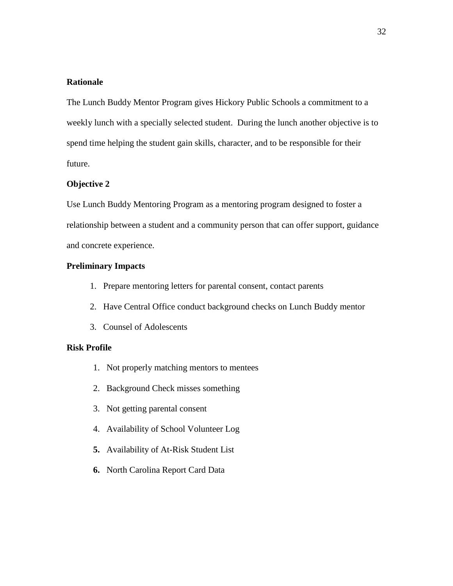# **Rationale**

The Lunch Buddy Mentor Program gives Hickory Public Schools a commitment to a weekly lunch with a specially selected student. During the lunch another objective is to spend time helping the student gain skills, character, and to be responsible for their future.

#### **Objective 2**

Use Lunch Buddy Mentoring Program as a mentoring program designed to foster a relationship between a student and a community person that can offer support, guidance and concrete experience.

## **Preliminary Impacts**

- 1. Prepare mentoring letters for parental consent, contact parents
- 2. Have Central Office conduct background checks on Lunch Buddy mentor
- 3. Counsel of Adolescents

## **Risk Profile**

- 1. Not properly matching mentors to mentees
- 2. Background Check misses something
- 3. Not getting parental consent
- 4. Availability of School Volunteer Log
- **5.** Availability of At-Risk Student List
- **6.** North Carolina Report Card Data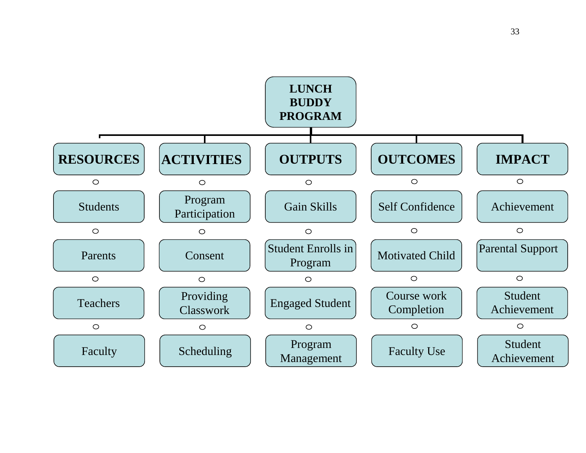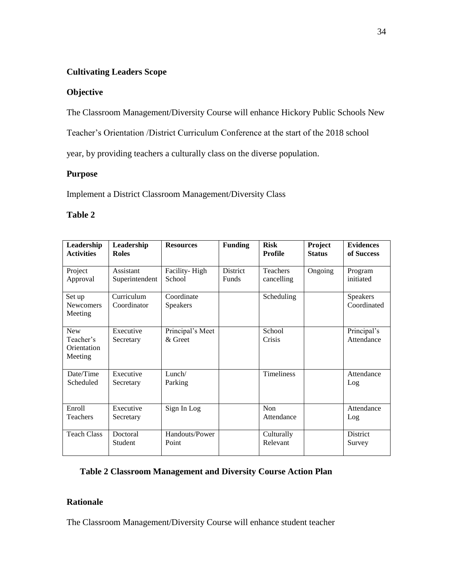# **Cultivating Leaders Scope**

# **Objective**

The Classroom Management/Diversity Course will enhance Hickory Public Schools New

Teacher's Orientation /District Curriculum Conference at the start of the 2018 school

year, by providing teachers a culturally class on the diverse population.

# **Purpose**

Implement a District Classroom Management/Diversity Class

# **Table 2**

| Leadership<br><b>Activities</b>                   | Leadership<br><b>Roles</b>  | <b>Resources</b>              | <b>Funding</b>                  | <b>Risk</b><br>Profile        | Project<br><b>Status</b> | <b>Evidences</b><br>of Success |
|---------------------------------------------------|-----------------------------|-------------------------------|---------------------------------|-------------------------------|--------------------------|--------------------------------|
| Project<br>Approval                               | Assistant<br>Superintendent | Facility-High<br>School       | <b>District</b><br><b>Funds</b> | <b>Teachers</b><br>cancelling | Ongoing                  | Program<br>initiated           |
| Set up<br><b>Newcomers</b><br>Meeting             | Curriculum<br>Coordinator   | Coordinate<br><b>Speakers</b> |                                 | Scheduling                    |                          | <b>Speakers</b><br>Coordinated |
| <b>New</b><br>Teacher's<br>Orientation<br>Meeting | Executive<br>Secretary      | Principal's Meet<br>& Greet   |                                 | School<br>Crisis              |                          | Principal's<br>Attendance      |
| Date/Time<br>Scheduled                            | Executive<br>Secretary      | Lunch/<br>Parking             |                                 | <b>Timeliness</b>             |                          | Attendance<br>Log              |
| Enroll<br><b>Teachers</b>                         | Executive<br>Secretary      | Sign In Log                   |                                 | <b>Non</b><br>Attendance      |                          | Attendance<br>Log              |
| <b>Teach Class</b>                                | Doctoral<br>Student         | Handouts/Power<br>Point       |                                 | Culturally<br>Relevant        |                          | District<br>Survey             |

# **Table 2 Classroom Management and Diversity Course Action Plan**

# **Rationale**

The Classroom Management/Diversity Course will enhance student teacher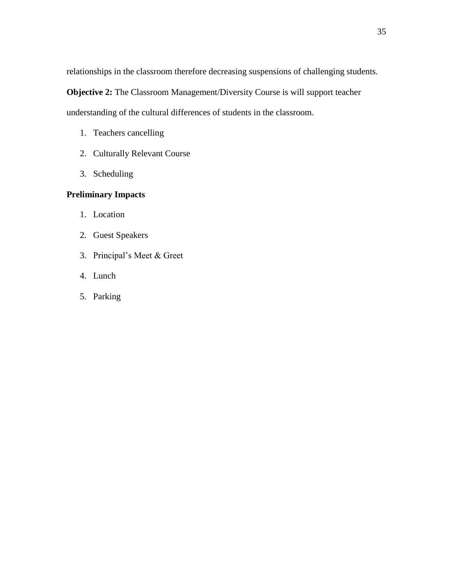relationships in the classroom therefore decreasing suspensions of challenging students.

**Objective 2:** The Classroom Management/Diversity Course is will support teacher

understanding of the cultural differences of students in the classroom.

- 1. Teachers cancelling
- 2. Culturally Relevant Course
- 3. Scheduling

# **Preliminary Impacts**

- 1. Location
- 2. Guest Speakers
- 3. Principal's Meet & Greet
- 4. Lunch
- 5. Parking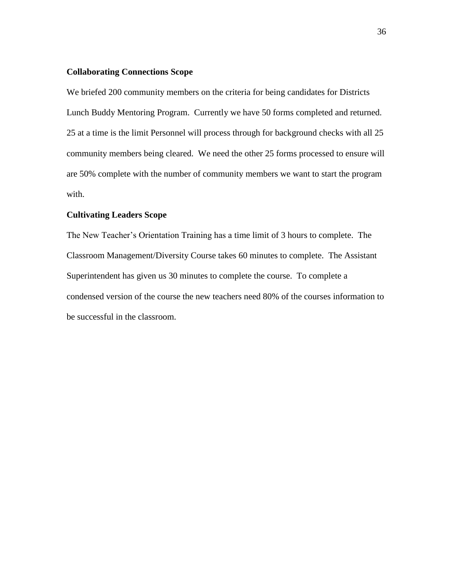## **Collaborating Connections Scope**

We briefed 200 community members on the criteria for being candidates for Districts Lunch Buddy Mentoring Program. Currently we have 50 forms completed and returned. 25 at a time is the limit Personnel will process through for background checks with all 25 community members being cleared. We need the other 25 forms processed to ensure will are 50% complete with the number of community members we want to start the program with.

#### **Cultivating Leaders Scope**

The New Teacher's Orientation Training has a time limit of 3 hours to complete. The Classroom Management/Diversity Course takes 60 minutes to complete. The Assistant Superintendent has given us 30 minutes to complete the course. To complete a condensed version of the course the new teachers need 80% of the courses information to be successful in the classroom.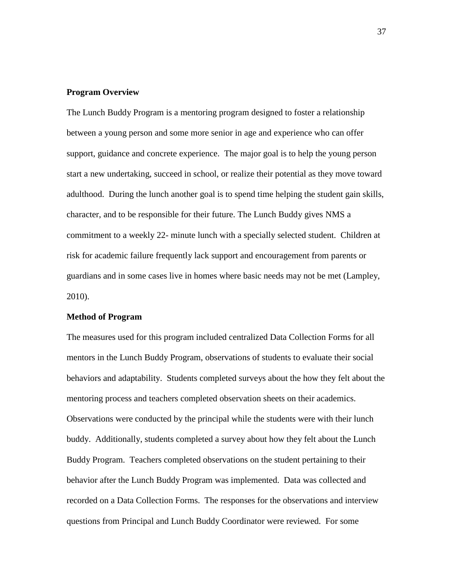#### **Program Overview**

The Lunch Buddy Program is a mentoring program designed to foster a relationship between a young person and some more senior in age and experience who can offer support, guidance and concrete experience. The major goal is to help the young person start a new undertaking, succeed in school, or realize their potential as they move toward adulthood. During the lunch another goal is to spend time helping the student gain skills, character, and to be responsible for their future. The Lunch Buddy gives NMS a commitment to a weekly 22- minute lunch with a specially selected student. Children at risk for academic failure frequently lack support and encouragement from parents or guardians and in some cases live in homes where basic needs may not be met (Lampley, 2010).

## **Method of Program**

The measures used for this program included centralized Data Collection Forms for all mentors in the Lunch Buddy Program, observations of students to evaluate their social behaviors and adaptability. Students completed surveys about the how they felt about the mentoring process and teachers completed observation sheets on their academics. Observations were conducted by the principal while the students were with their lunch buddy. Additionally, students completed a survey about how they felt about the Lunch Buddy Program. Teachers completed observations on the student pertaining to their behavior after the Lunch Buddy Program was implemented. Data was collected and recorded on a Data Collection Forms. The responses for the observations and interview questions from Principal and Lunch Buddy Coordinator were reviewed. For some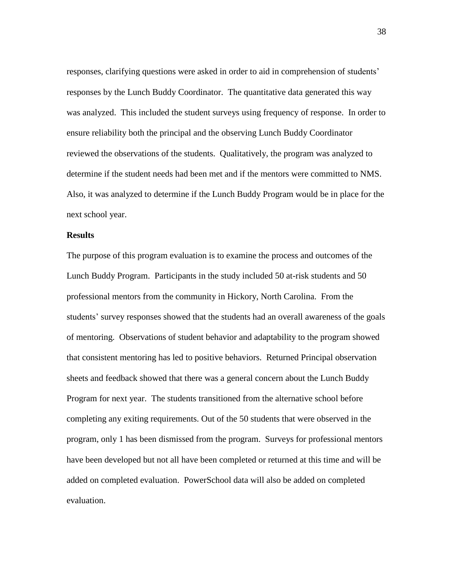responses, clarifying questions were asked in order to aid in comprehension of students' responses by the Lunch Buddy Coordinator. The quantitative data generated this way was analyzed. This included the student surveys using frequency of response. In order to ensure reliability both the principal and the observing Lunch Buddy Coordinator reviewed the observations of the students. Qualitatively, the program was analyzed to determine if the student needs had been met and if the mentors were committed to NMS. Also, it was analyzed to determine if the Lunch Buddy Program would be in place for the next school year.

#### **Results**

The purpose of this program evaluation is to examine the process and outcomes of the Lunch Buddy Program. Participants in the study included 50 at-risk students and 50 professional mentors from the community in Hickory, North Carolina. From the students' survey responses showed that the students had an overall awareness of the goals of mentoring. Observations of student behavior and adaptability to the program showed that consistent mentoring has led to positive behaviors. Returned Principal observation sheets and feedback showed that there was a general concern about the Lunch Buddy Program for next year. The students transitioned from the alternative school before completing any exiting requirements. Out of the 50 students that were observed in the program, only 1 has been dismissed from the program. Surveys for professional mentors have been developed but not all have been completed or returned at this time and will be added on completed evaluation. PowerSchool data will also be added on completed evaluation.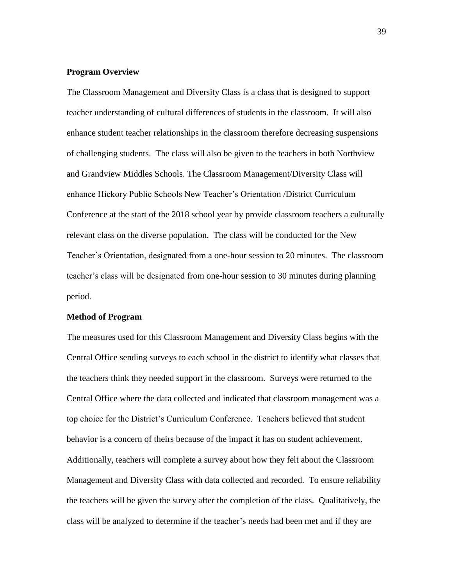#### **Program Overview**

The Classroom Management and Diversity Class is a class that is designed to support teacher understanding of cultural differences of students in the classroom. It will also enhance student teacher relationships in the classroom therefore decreasing suspensions of challenging students. The class will also be given to the teachers in both Northview and Grandview Middles Schools. The Classroom Management/Diversity Class will enhance Hickory Public Schools New Teacher's Orientation /District Curriculum Conference at the start of the 2018 school year by provide classroom teachers a culturally relevant class on the diverse population. The class will be conducted for the New Teacher's Orientation, designated from a one-hour session to 20 minutes. The classroom teacher's class will be designated from one-hour session to 30 minutes during planning period.

#### **Method of Program**

The measures used for this Classroom Management and Diversity Class begins with the Central Office sending surveys to each school in the district to identify what classes that the teachers think they needed support in the classroom. Surveys were returned to the Central Office where the data collected and indicated that classroom management was a top choice for the District's Curriculum Conference. Teachers believed that student behavior is a concern of theirs because of the impact it has on student achievement. Additionally, teachers will complete a survey about how they felt about the Classroom Management and Diversity Class with data collected and recorded. To ensure reliability the teachers will be given the survey after the completion of the class. Qualitatively, the class will be analyzed to determine if the teacher's needs had been met and if they are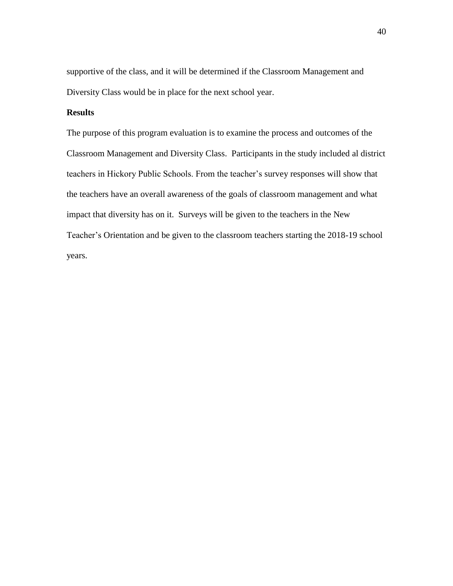supportive of the class, and it will be determined if the Classroom Management and Diversity Class would be in place for the next school year.

# **Results**

The purpose of this program evaluation is to examine the process and outcomes of the Classroom Management and Diversity Class. Participants in the study included al district teachers in Hickory Public Schools. From the teacher's survey responses will show that the teachers have an overall awareness of the goals of classroom management and what impact that diversity has on it. Surveys will be given to the teachers in the New Teacher's Orientation and be given to the classroom teachers starting the 2018-19 school years.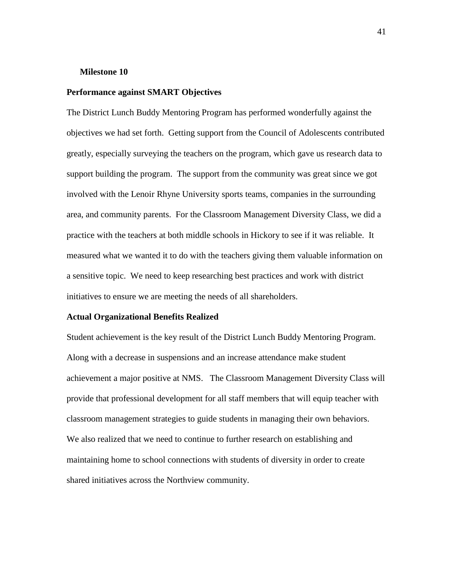#### **Milestone 10**

#### **Performance against SMART Objectives**

The District Lunch Buddy Mentoring Program has performed wonderfully against the objectives we had set forth. Getting support from the Council of Adolescents contributed greatly, especially surveying the teachers on the program, which gave us research data to support building the program. The support from the community was great since we got involved with the Lenoir Rhyne University sports teams, companies in the surrounding area, and community parents. For the Classroom Management Diversity Class, we did a practice with the teachers at both middle schools in Hickory to see if it was reliable. It measured what we wanted it to do with the teachers giving them valuable information on a sensitive topic. We need to keep researching best practices and work with district initiatives to ensure we are meeting the needs of all shareholders.

#### **Actual Organizational Benefits Realized**

Student achievement is the key result of the District Lunch Buddy Mentoring Program. Along with a decrease in suspensions and an increase attendance make student achievement a major positive at NMS. The Classroom Management Diversity Class will provide that professional development for all staff members that will equip teacher with classroom management strategies to guide students in managing their own behaviors. We also realized that we need to continue to further research on establishing and maintaining home to school connections with students of diversity in order to create shared initiatives across the Northview community.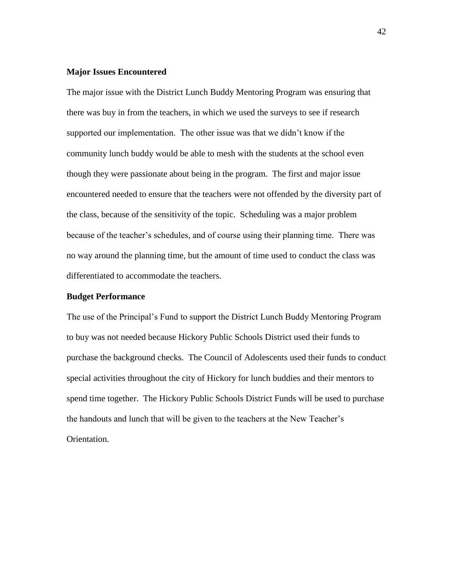## **Major Issues Encountered**

The major issue with the District Lunch Buddy Mentoring Program was ensuring that there was buy in from the teachers, in which we used the surveys to see if research supported our implementation. The other issue was that we didn't know if the community lunch buddy would be able to mesh with the students at the school even though they were passionate about being in the program. The first and major issue encountered needed to ensure that the teachers were not offended by the diversity part of the class, because of the sensitivity of the topic. Scheduling was a major problem because of the teacher's schedules, and of course using their planning time. There was no way around the planning time, but the amount of time used to conduct the class was differentiated to accommodate the teachers.

## **Budget Performance**

The use of the Principal's Fund to support the District Lunch Buddy Mentoring Program to buy was not needed because Hickory Public Schools District used their funds to purchase the background checks. The Council of Adolescents used their funds to conduct special activities throughout the city of Hickory for lunch buddies and their mentors to spend time together. The Hickory Public Schools District Funds will be used to purchase the handouts and lunch that will be given to the teachers at the New Teacher's Orientation.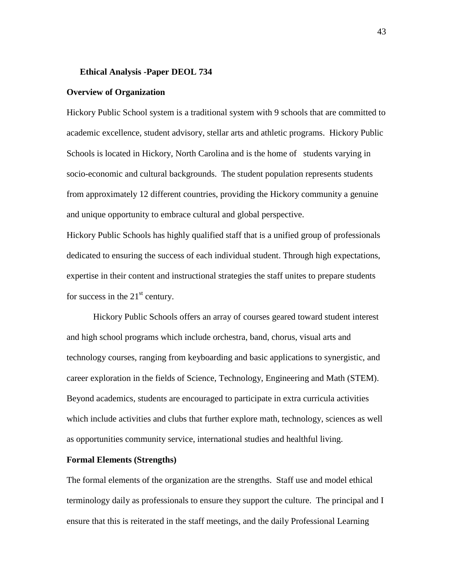#### **Ethical Analysis -Paper DEOL 734**

#### **Overview of Organization**

Hickory Public School system is a traditional system with 9 schools that are committed to academic excellence, student advisory, stellar arts and athletic programs. Hickory Public Schools is located in Hickory, North Carolina and is the home of students varying in socio-economic and cultural backgrounds. The student population represents students from approximately 12 different countries, providing the Hickory community a genuine and unique opportunity to embrace cultural and global perspective.

Hickory Public Schools has highly qualified staff that is a unified group of professionals dedicated to ensuring the success of each individual student. Through high expectations, expertise in their content and instructional strategies the staff unites to prepare students for success in the  $21<sup>st</sup>$  century.

Hickory Public Schools offers an array of courses geared toward student interest and high school programs which include orchestra, band, chorus, visual arts and technology courses, ranging from keyboarding and basic applications to synergistic, and career exploration in the fields of Science, Technology, Engineering and Math (STEM). Beyond academics, students are encouraged to participate in extra curricula activities which include activities and clubs that further explore math, technology, sciences as well as opportunities community service, international studies and healthful living.

## **Formal Elements (Strengths)**

The formal elements of the organization are the strengths. Staff use and model ethical terminology daily as professionals to ensure they support the culture. The principal and I ensure that this is reiterated in the staff meetings, and the daily Professional Learning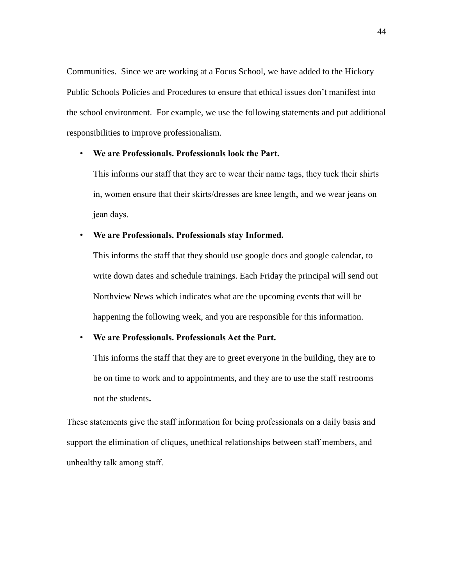Communities. Since we are working at a Focus School, we have added to the Hickory Public Schools Policies and Procedures to ensure that ethical issues don't manifest into the school environment. For example, we use the following statements and put additional responsibilities to improve professionalism.

#### • **We are Professionals. Professionals look the Part.**

This informs our staff that they are to wear their name tags, they tuck their shirts in, women ensure that their skirts/dresses are knee length, and we wear jeans on jean days.

#### • **We are Professionals. Professionals stay Informed.**

This informs the staff that they should use google docs and google calendar, to write down dates and schedule trainings. Each Friday the principal will send out Northview News which indicates what are the upcoming events that will be happening the following week, and you are responsible for this information.

# • **We are Professionals. Professionals Act the Part.**

This informs the staff that they are to greet everyone in the building, they are to be on time to work and to appointments, and they are to use the staff restrooms not the students**.**

These statements give the staff information for being professionals on a daily basis and support the elimination of cliques, unethical relationships between staff members, and unhealthy talk among staff.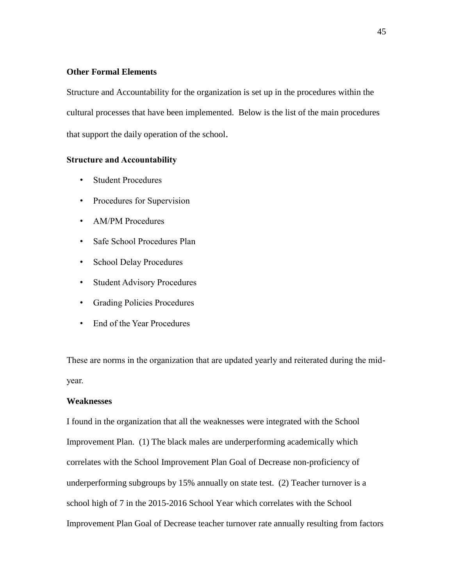# **Other Formal Elements**

Structure and Accountability for the organization is set up in the procedures within the cultural processes that have been implemented. Below is the list of the main procedures that support the daily operation of the school.

## **Structure and Accountability**

- Student Procedures
- Procedures for Supervision
- AM/PM Procedures
- Safe School Procedures Plan
- School Delay Procedures
- Student Advisory Procedures
- Grading Policies Procedures
- End of the Year Procedures

These are norms in the organization that are updated yearly and reiterated during the midyear.

### **Weaknesses**

I found in the organization that all the weaknesses were integrated with the School Improvement Plan. (1) The black males are underperforming academically which correlates with the School Improvement Plan Goal of Decrease non-proficiency of underperforming subgroups by 15% annually on state test. (2) Teacher turnover is a school high of 7 in the 2015-2016 School Year which correlates with the School Improvement Plan Goal of Decrease teacher turnover rate annually resulting from factors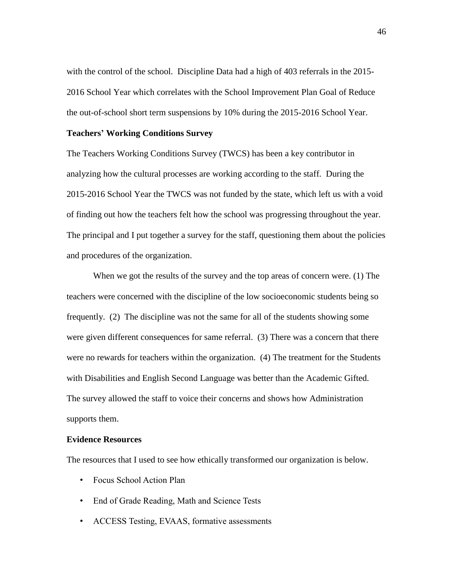with the control of the school. Discipline Data had a high of 403 referrals in the 2015- 2016 School Year which correlates with the School Improvement Plan Goal of Reduce the out-of-school short term suspensions by 10% during the 2015-2016 School Year.

#### **Teachers' Working Conditions Survey**

The Teachers Working Conditions Survey (TWCS) has been a key contributor in analyzing how the cultural processes are working according to the staff. During the 2015-2016 School Year the TWCS was not funded by the state, which left us with a void of finding out how the teachers felt how the school was progressing throughout the year. The principal and I put together a survey for the staff, questioning them about the policies and procedures of the organization.

When we got the results of the survey and the top areas of concern were. (1) The teachers were concerned with the discipline of the low socioeconomic students being so frequently. (2) The discipline was not the same for all of the students showing some were given different consequences for same referral. (3) There was a concern that there were no rewards for teachers within the organization. (4) The treatment for the Students with Disabilities and English Second Language was better than the Academic Gifted. The survey allowed the staff to voice their concerns and shows how Administration supports them.

## **Evidence Resources**

The resources that I used to see how ethically transformed our organization is below.

- Focus School Action Plan
- End of Grade Reading, Math and Science Tests
- ACCESS Testing, EVAAS, formative assessments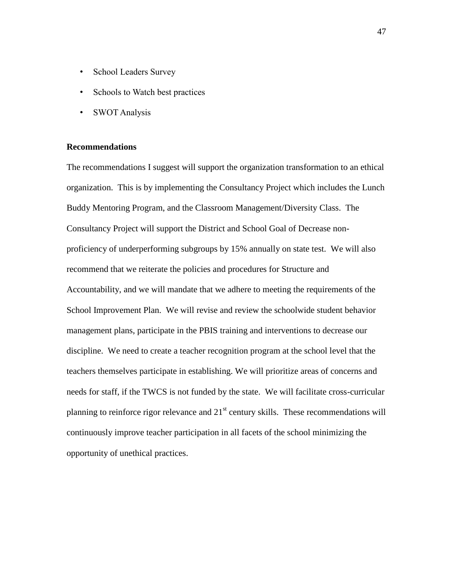- School Leaders Survey
- Schools to Watch best practices
- SWOT Analysis

## **Recommendations**

The recommendations I suggest will support the organization transformation to an ethical organization. This is by implementing the Consultancy Project which includes the Lunch Buddy Mentoring Program, and the Classroom Management/Diversity Class. The Consultancy Project will support the District and School Goal of Decrease nonproficiency of underperforming subgroups by 15% annually on state test. We will also recommend that we reiterate the policies and procedures for Structure and Accountability, and we will mandate that we adhere to meeting the requirements of the School Improvement Plan. We will revise and review the schoolwide student behavior management plans, participate in the PBIS training and interventions to decrease our discipline. We need to create a teacher recognition program at the school level that the teachers themselves participate in establishing. We will prioritize areas of concerns and needs for staff, if the TWCS is not funded by the state. We will facilitate cross-curricular planning to reinforce rigor relevance and  $21<sup>st</sup>$  century skills. These recommendations will continuously improve teacher participation in all facets of the school minimizing the opportunity of unethical practices.